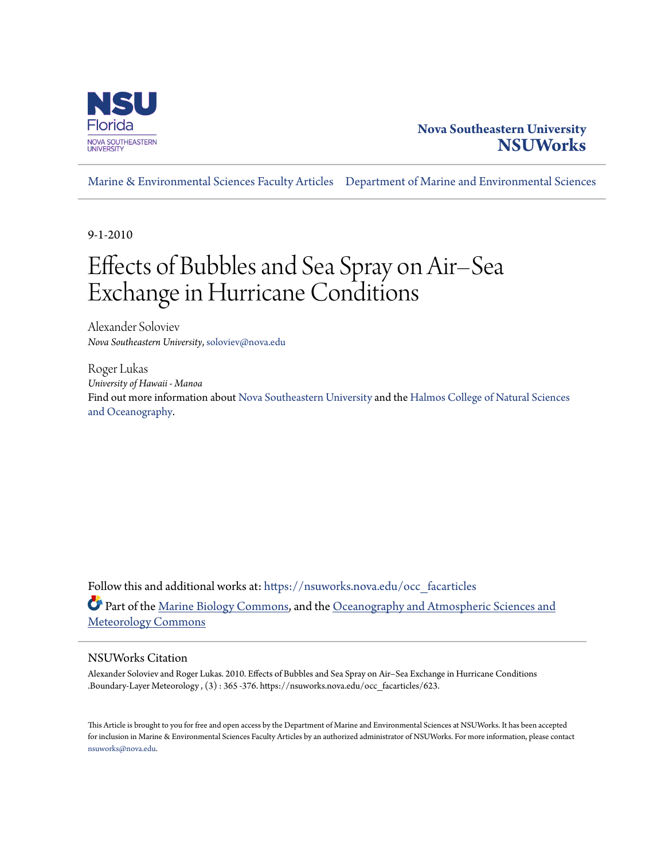

# **Nova Southeastern University [NSUWorks](https://nsuworks.nova.edu?utm_source=nsuworks.nova.edu%2Focc_facarticles%2F623&utm_medium=PDF&utm_campaign=PDFCoverPages)**

[Marine & Environmental Sciences Faculty Articles](https://nsuworks.nova.edu/occ_facarticles?utm_source=nsuworks.nova.edu%2Focc_facarticles%2F623&utm_medium=PDF&utm_campaign=PDFCoverPages) [Department of Marine and Environmental Sciences](https://nsuworks.nova.edu/cnso_mes?utm_source=nsuworks.nova.edu%2Focc_facarticles%2F623&utm_medium=PDF&utm_campaign=PDFCoverPages)

9-1-2010

# Effects of Bubbles and Sea Spray on Air–Sea Exchange in Hurricane Conditions

Alexander Soloviev *Nova Southeastern University*, soloviev@nova.edu

Roger Lukas *University of Hawaii - Manoa* Find out more information about [Nova Southeastern University](http://www.nova.edu/) and the [Halmos College of Natural Sciences](https://cnso.nova.edu) [and Oceanography.](https://cnso.nova.edu)

Follow this and additional works at: [https://nsuworks.nova.edu/occ\\_facarticles](https://nsuworks.nova.edu/occ_facarticles?utm_source=nsuworks.nova.edu%2Focc_facarticles%2F623&utm_medium=PDF&utm_campaign=PDFCoverPages) Part of the [Marine Biology Commons,](http://network.bepress.com/hgg/discipline/1126?utm_source=nsuworks.nova.edu%2Focc_facarticles%2F623&utm_medium=PDF&utm_campaign=PDFCoverPages) and the [Oceanography and Atmospheric Sciences and](http://network.bepress.com/hgg/discipline/186?utm_source=nsuworks.nova.edu%2Focc_facarticles%2F623&utm_medium=PDF&utm_campaign=PDFCoverPages) [Meteorology Commons](http://network.bepress.com/hgg/discipline/186?utm_source=nsuworks.nova.edu%2Focc_facarticles%2F623&utm_medium=PDF&utm_campaign=PDFCoverPages)

## NSUWorks Citation

Alexander Soloviev and Roger Lukas. 2010. Effects of Bubbles and Sea Spray on Air–Sea Exchange in Hurricane Conditions .Boundary-Layer Meteorology , (3) : 365 -376. https://nsuworks.nova.edu/occ\_facarticles/623.

This Article is brought to you for free and open access by the Department of Marine and Environmental Sciences at NSUWorks. It has been accepted for inclusion in Marine & Environmental Sciences Faculty Articles by an authorized administrator of NSUWorks. For more information, please contact [nsuworks@nova.edu.](mailto:nsuworks@nova.edu)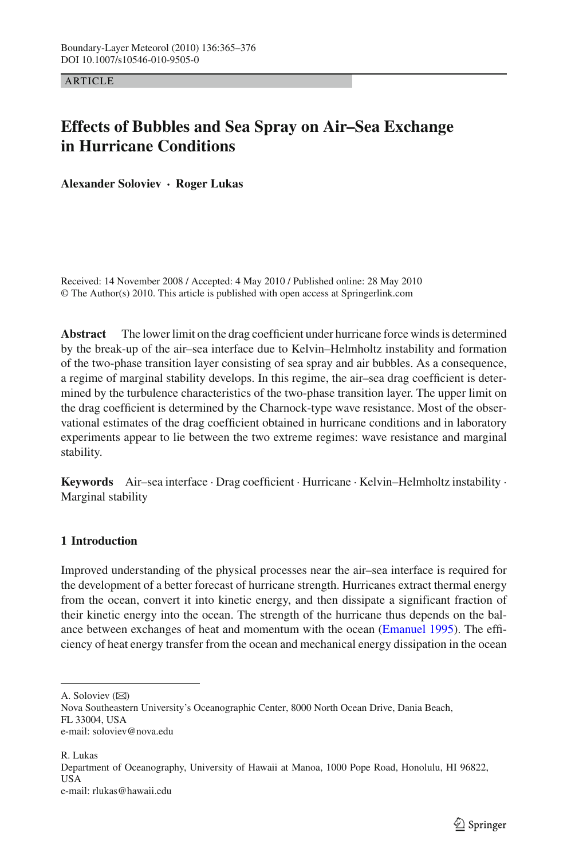ARTICLE

## **Effects of Bubbles and Sea Spray on Air–Sea Exchange in Hurricane Conditions**

**Alexander Soloviev · Roger Lukas**

Received: 14 November 2008 / Accepted: 4 May 2010 / Published online: 28 May 2010 © The Author(s) 2010. This article is published with open access at Springerlink.com

**Abstract** The lower limit on the drag coefficient under hurricane force winds is determined by the break-up of the air–sea interface due to Kelvin–Helmholtz instability and formation of the two-phase transition layer consisting of sea spray and air bubbles. As a consequence, a regime of marginal stability develops. In this regime, the air–sea drag coefficient is determined by the turbulence characteristics of the two-phase transition layer. The upper limit on the drag coefficient is determined by the Charnock-type wave resistance. Most of the observational estimates of the drag coefficient obtained in hurricane conditions and in laboratory experiments appear to lie between the two extreme regimes: wave resistance and marginal stability.

**Keywords** Air–sea interface · Drag coefficient · Hurricane · Kelvin–Helmholtz instability · Marginal stability

### <span id="page-1-0"></span>**1 Introduction**

Improved understanding of the physical processes near the air–sea interface is required for the development of a better forecast of hurricane strength. Hurricanes extract thermal energy from the ocean, convert it into kinetic energy, and then dissipate a significant fraction of their kinetic energy into the ocean. The strength of the hurricane thus depends on the balance between exchanges of heat and momentum with the ocean [\(Emanuel 1995\)](#page-11-0). The efficiency of heat energy transfer from the ocean and mechanical energy dissipation in the ocean

A. Soloviev  $(\boxtimes)$ 

R. Lukas Department of Oceanography, University of Hawaii at Manoa, 1000 Pope Road, Honolulu, HI 96822, USA e-mail: rlukas@hawaii.edu

Nova Southeastern University's Oceanographic Center, 8000 North Ocean Drive, Dania Beach, FL 33004, USA e-mail: soloviev@nova.edu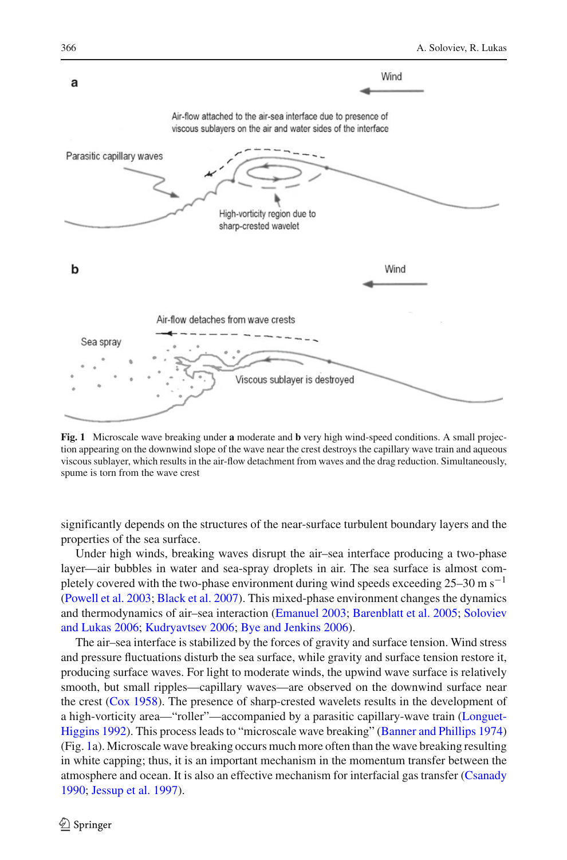

<span id="page-2-0"></span>**Fig. 1** Microscale wave breaking under **a** moderate and **b** very high wind-speed conditions. A small projection appearing on the downwind slope of the wave near the crest destroys the capillary wave train and aqueous viscous sublayer, which results in the air-flow detachment from waves and the drag reduction. Simultaneously, spume is torn from the wave crest

significantly depends on the structures of the near-surface turbulent boundary layers and the properties of the sea surface.

Under high winds, breaking waves disrupt the air–sea interface producing a two-phase layer—air bubbles in water and sea-spray droplets in air. The sea surface is almost completely covered with the two-phase environment during wind speeds exceeding  $25-30 \text{ m s}^{-1}$ [\(Powell et al. 2003](#page-12-0); [Black et al. 2007\)](#page-11-1). This mixed-phase environment changes the dynamics and therm[odynamics](#page-12-1) [of](#page-12-1) [air–sea](#page-12-1) [interaction](#page-12-1) [\(Emanuel 2003;](#page-11-2) [Barenblatt et al. 2005;](#page-11-3) Soloviev and Lukas [2006;](#page-12-1) [Kudryavtsev 2006;](#page-12-2) [Bye and Jenkins 2006](#page-11-4)).

The air–sea interface is stabilized by the forces of gravity and surface tension. Wind stress and pressure fluctuations disturb the sea surface, while gravity and surface tension restore it, producing surface waves. For light to moderate winds, the upwind wave surface is relatively smooth, but small ripples—capillary waves—are observed on the downwind surface near the crest [\(Cox 1958](#page-11-5)). The presence of sharp-crested wavelets results in the development of a high-[vorticity](#page-12-3) [area—"roller"—accompanied](#page-12-3) [by](#page-12-3) [a](#page-12-3) [parasitic](#page-12-3) [capillary-wave](#page-12-3) [train](#page-12-3) [\(](#page-12-3)Longuet-Higgins [1992\)](#page-12-3). This process leads to "microscale wave breaking" [\(Banner and Phillips 1974\)](#page-11-6) (Fig. [1a](#page-2-0)). Microscale wave breaking occurs much more often than the wave breaking resulting in white capping; thus, it is an important mechanism in the momentum transfer between the atmosphere and ocean. It is also an effective mechanism for interfacial gas transfer [\(Csanady](#page-11-7) [1990](#page-11-7); [Jessup et al. 1997\)](#page-12-4).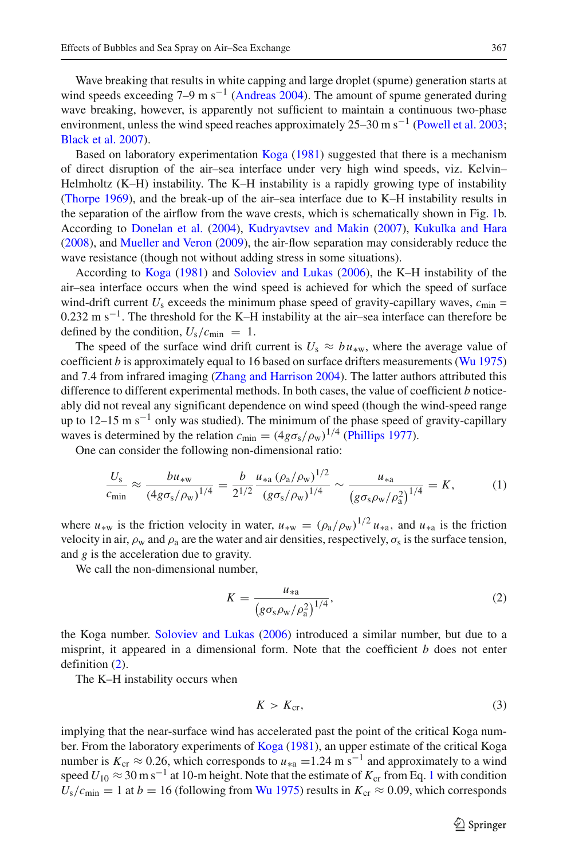Wave breaking that results in white capping and large droplet (spume) generation starts at wind speeds exceeding  $7-9$  m s<sup>-1</sup> [\(Andreas 2004](#page-11-8)). The amount of spume generated during wave breaking, however, is apparently not sufficient to maintain a continuous two-phase environment, unless the wind speed reaches approximately 25–30 m s<sup>-1</sup> [\(Powell et al. 2003](#page-12-0); [Black et al. 2007](#page-11-1)).

Based on laboratory experimentation [Koga](#page-12-5) [\(1981](#page-12-5)) suggested that there is a mechanism of direct disruption of the air–sea interface under very high wind speeds, viz. Kelvin– Helmholtz (K–H) instability. The K–H instability is a rapidly growing type of instability [\(Thorpe 1969\)](#page-12-6), and the break-up of the air–sea interface due to K–H instability results in the separation of the airflow from the wave crests, which is schematically shown in Fig. [1b](#page-2-0). According to [Donelan et al.](#page-11-9) [\(2004](#page-11-9)), [Kudryavtsev and Makin](#page-12-7) [\(2007\)](#page-12-7), [Kukulka and Hara](#page-12-8) [\(2008](#page-12-8)), and [Mueller and Veron](#page-12-9) [\(2009\)](#page-12-9), the air-flow separation may considerably reduce the wave resistance (though not without adding stress in some situations).

According to [Koga](#page-12-5) [\(1981](#page-12-5)) and [Soloviev and Lukas](#page-12-1) [\(2006\)](#page-12-1), the K–H instability of the air–sea interface occurs when the wind speed is achieved for which the speed of surface wind-drift current  $U_s$  exceeds the minimum phase speed of gravity-capillary waves,  $c_{\text{min}} =$ 0.232 m s<sup>-1</sup>. The threshold for the K–H instability at the air–sea interface can therefore be defined by the condition,  $U_s/c_{\text{min}} = 1$ .

The speed of the surface wind drift current is  $U_s \approx bu_{\rm sw}$ , where the average value of coefficient  $b$  is approximately equal to 16 based on surface drifters measurements [\(Wu 1975\)](#page-12-10) and 7.4 from infrared imaging [\(Zhang and Harrison 2004\)](#page-12-11). The latter authors attributed this difference to different experimental methods. In both cases, the value of coefficient *b* noticeably did not reveal any significant dependence on wind speed (though the wind-speed range up to 12–15 m s<sup>-1</sup> only was studied). The minimum of the phase speed of gravity-capillary waves is determined by the relation  $c_{\min} = (4g\sigma_s/\rho_w)^{1/4}$  [\(Phillips 1977\)](#page-12-12).<br>One can consider the following non-dimensional ratio:

One can consider the following non-dimensional ratio:

$$
\frac{U_{\rm s}}{c_{\rm min}} \approx \frac{bu_{\rm sw}}{(4g\sigma_{\rm s}/\rho_{\rm w})^{1/4}} = \frac{b}{2^{1/2}} \frac{u_{\rm *a} (\rho_{\rm a}/\rho_{\rm w})^{1/2}}{(g\sigma_{\rm s}/\rho_{\rm w})^{1/4}} \sim \frac{u_{\rm *a}}{(g\sigma_{\rm s}\rho_{\rm w}/\rho_{\rm a}^2)^{1/4}} = K,\tag{1}
$$

<span id="page-3-1"></span>where  $u_{*w}$  is the friction velocity in water,  $u_{*w} = (\rho_a/\rho_w)^{1/2} u_{*a}$ , and  $u_{*a}$  is the friction velocity in air  $\rho_a$  and  $\rho_a$  are the water and air densities respectively  $\sigma_a$  is the surface tension velocity in air,  $\rho_w$  and  $\rho_a$  are the water and air densities, respectively,  $\sigma_s$  is the surface tension, and *g* is the acceleration due to gravity.

<span id="page-3-0"></span>We call the non-dimensional number,

$$
K = \frac{u_{*a}}{(g\sigma_s \rho_w/\rho_a^2)^{1/4}},
$$
\n(2)

the Koga number. [Soloviev and Lukas](#page-12-1) [\(2006\)](#page-12-1) introduced a similar number, but due to a misprint, it appeared in a dimensional form. Note that the coefficient *b* does not enter definition [\(2\)](#page-3-0).

<span id="page-3-2"></span>The K–H instability occurs when

$$
K > K_{\rm cr},\tag{3}
$$

implying that the near-surface wind has accelerated past the point of the critical Koga number. From the laboratory experiments of [Koga](#page-12-5) [\(1981\)](#page-12-5), an upper estimate of the critical Koga number is  $K_{cr} \approx 0.26$ , which corresponds to  $u_{*a} = 1.24$  m s<sup>-1</sup> and approximately to a wind speed  $U_{10} \approx 30 \text{ m s}^{-1}$  $U_{10} \approx 30 \text{ m s}^{-1}$  $U_{10} \approx 30 \text{ m s}^{-1}$  at 10-m height. Note that the estimate of  $K_{cr}$  from Eq. 1 with condition  $U_s/c_{\text{min}} = 1$  at  $b = 16$  (following from [Wu 1975](#page-12-10)) results in  $K_{\text{cr}} \approx 0.09$ , which corresponds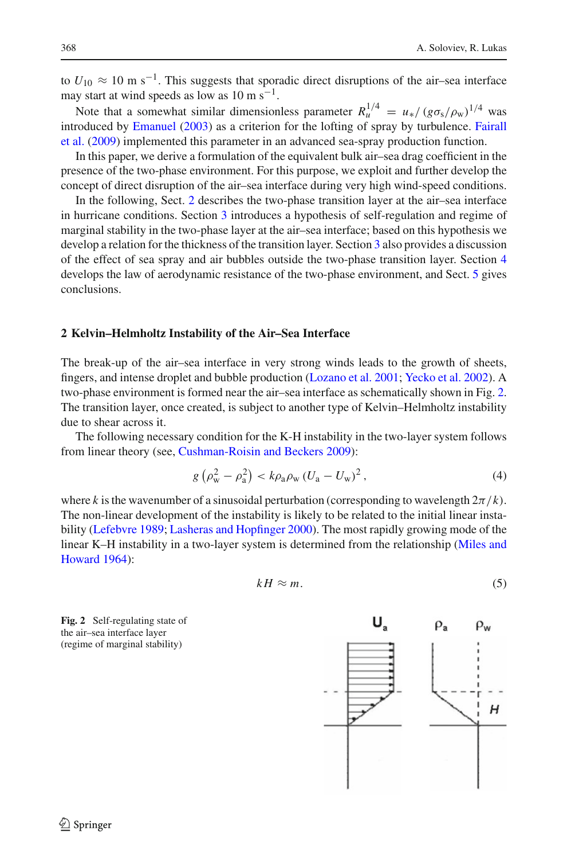to  $U_{10} \approx 10 \text{ m s}^{-1}$ . This suggests that sporadic direct disruptions of the air–sea interface may start at wind speeds as low as  $10 \text{ m s}^{-1}$ .

Note that a somewhat similar dimensionless parameter  $R_u^{1/4} = u_* / (g \sigma_s / \rho_w)^{1/4}$  was<br>roduced by Emanuel (2003) as a criterion for the lofting of spray by turbulence. Eairall introduced by [Emanuel](#page-11-2) [\(2003\)](#page-11-2) [as](#page-11-10) [a](#page-11-10) [criterion](#page-11-10) [for](#page-11-10) [the](#page-11-10) [lofting](#page-11-10) [of](#page-11-10) [spray](#page-11-10) [by](#page-11-10) [turbulence.](#page-11-10) Fairall et al. [\(2009](#page-11-10)) implemented this parameter in an advanced sea-spray production function.

In this paper, we derive a formulation of the equivalent bulk air–sea drag coefficient in the presence of the two-phase environment. For this purpose, we exploit and further develop the concept of direct disruption of the air–sea interface during very high wind-speed conditions.

In the following, Sect. [2](#page-4-0) describes the two-phase transition layer at the air–sea interface in hurricane conditions. Section [3](#page-6-0) introduces a hypothesis of self-regulation and regime of marginal stability in the two-phase layer at the air–sea interface; based on this hypothesis we develop a relation for the thickness of the transition layer. Section [3](#page-6-0) also provides a discussion of the effect of sea spray and air bubbles outside the two-phase transition layer. Section [4](#page-7-0) develops the law of aerodynamic resistance of the two-phase environment, and Sect. [5](#page-10-0) gives conclusions.

#### <span id="page-4-0"></span>**2 Kelvin–Helmholtz Instability of the Air–Sea Interface**

The break-up of the air–sea interface in very strong winds leads to the growth of sheets, fingers, and intense droplet and bubble production [\(Lozano et al. 2001](#page-12-13); [Yecko et al. 2002\)](#page-12-14). A two-phase environment is formed near the air–sea interface as schematically shown in Fig. [2.](#page-4-1) The transition layer, once created, is subject to another type of Kelvin–Helmholtz instability due to shear across it.

The following necessary condition for the K-H instability in the two-layer system follows from linear theory (see, [Cushman-Roisin and Beckers 2009](#page-11-11)):

$$
g\left(\rho_{\rm w}^2 - \rho_{\rm a}^2\right) < k\rho_{\rm a}\rho_{\rm w}\left(U_{\rm a} - U_{\rm w}\right)^2,\tag{4}
$$

<span id="page-4-2"></span>where k is the wavenumber of a sinusoidal perturbation (corresponding to wavelength  $2\pi/k$ ). The non-linear development of the instability is likely to be related to the initial linear instability [\(Lefebvre 1989](#page-12-15); [Lasheras and Hopfinger 2000](#page-12-16)). The most rapidly growing mode of the linear [K–H](#page-12-17) [instability](#page-12-17) [in](#page-12-17) [a](#page-12-17) [two-layer](#page-12-17) [system](#page-12-17) [is](#page-12-17) [determined](#page-12-17) [from](#page-12-17) [the](#page-12-17) [relationship](#page-12-17) [\(](#page-12-17)Miles and Howard [1964\)](#page-12-17):

$$
kH \approx m. \tag{5}
$$

<span id="page-4-1"></span>**Fig. 2** Self-regulating state of the air–sea interface layer (regime of marginal stability)

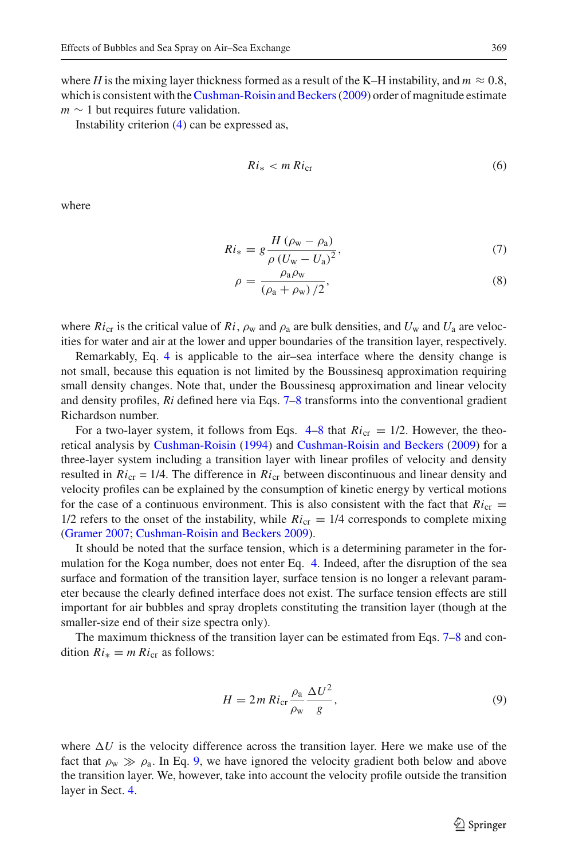where *H* is the mixing layer thickness formed as a result of the K–H instability, and  $m \approx 0.8$ , which is consistent with the Cushman-Roisin and Beckers (2009) order of magnitude estimate  $m \sim 1$  but requires future validation.

<span id="page-5-2"></span>Instability criterion [\(4\)](#page-4-2) can be expressed as,

$$
Ri_* < m\,Ri_{\rm cr} \tag{6}
$$

<span id="page-5-0"></span>where

$$
Ri_{*} = g \frac{H (\rho_{\rm w} - \rho_{\rm a})}{\rho (U_{\rm w} - U_{\rm a})^{2}},\tag{7}
$$

$$
\rho = \frac{\rho_a \rho_w}{(\rho_a + \rho_w)/2},\tag{8}
$$

where  $Ri_{\rm cr}$  is the critical value of  $Ri$ ,  $\rho_{\rm w}$  and  $\rho_{\rm a}$  are bulk densities, and  $U_{\rm w}$  and  $U_{\rm a}$  are velocities for water and air at the lower and upper boundaries of the transition layer, respectively.

Remarkably, Eq. [4](#page-4-2) is applicable to the air–sea interface where the density change is not small, because this equation is not limited by the Boussinesq approximation requiring small density changes. Note that, under the Boussinesq approximation and linear velocity and density profiles, *Ri* defined here via Eqs. [7–8](#page-5-0) transforms into the conventional gradient Richardson number.

For a two-layer system, it follows from Eqs.  $4-8$  $4-8$  that  $Ric<sub>cr</sub> = 1/2$ . However, the theoretical analysis by [Cushman-Roisin](#page-11-12) [\(1994\)](#page-11-12) and [Cushman-Roisin and Beckers](#page-11-11) [\(2009\)](#page-11-11) for a three-layer system including a transition layer with linear profiles of velocity and density resulted in  $Ri_{cr} = 1/4$ . The difference in  $Ri_{cr}$  between discontinuous and linear density and velocity profiles can be explained by the consumption of kinetic energy by vertical motions for the case of a continuous environment. This is also consistent with the fact that  $Ri_{cr}$  =  $1/2$  refers to the onset of the instability, while  $Ric<sub>r</sub> = 1/4$  corresponds to complete mixing [\(Gramer 2007;](#page-11-13) [Cushman-Roisin and Beckers 2009](#page-11-11)).

It should be noted that the surface tension, which is a determining parameter in the formulation for the Koga number, does not enter Eq. [4.](#page-4-2) Indeed, after the disruption of the sea surface and formation of the transition layer, surface tension is no longer a relevant parameter because the clearly defined interface does not exist. The surface tension effects are still important for air bubbles and spray droplets constituting the transition layer (though at the smaller-size end of their size spectra only).

The maximum thickness of the transition layer can be estimated from Eqs. [7–8](#page-5-0) and condition  $Ri_* = m Ri_{cr}$  as follows:

$$
H = 2m R i_{\rm cr} \frac{\rho_{\rm a}}{\rho_{\rm w}} \frac{\Delta U^2}{g},\tag{9}
$$

<span id="page-5-1"></span>where  $\Delta U$  is the velocity difference across the transition layer. Here we make use of the fact that  $\rho_w \gg \rho_a$ . In Eq. [9,](#page-5-1) we have ignored the velocity gradient both below and above the transition layer. We, however, take into account the velocity profile outside the transition layer in Sect. [4.](#page-7-0)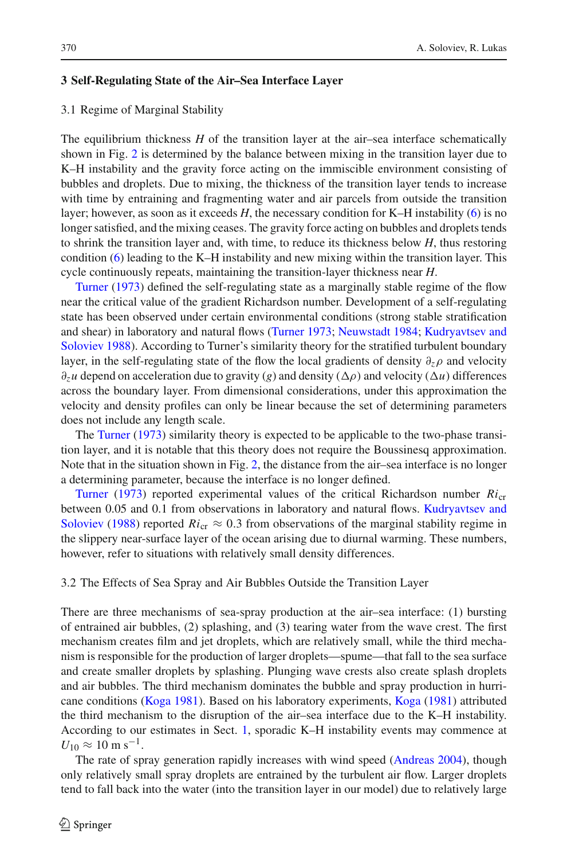#### <span id="page-6-0"></span>**3 Self-Regulating State of the Air–Sea Interface Layer**

#### <span id="page-6-1"></span>3.1 Regime of Marginal Stability

The equilibrium thickness *H* of the transition layer at the air–sea interface schematically shown in Fig. [2](#page-4-1) is determined by the balance between mixing in the transition layer due to K–H instability and the gravity force acting on the immiscible environment consisting of bubbles and droplets. Due to mixing, the thickness of the transition layer tends to increase with time by entraining and fragmenting water and air parcels from outside the transition layer; however, as soon as it exceeds *H*, the necessary condition for K–H instability [\(6\)](#page-5-2) is no longer satisfied, and the mixing ceases. The gravity force acting on bubbles and droplets tends to shrink the transition layer and, with time, to reduce its thickness below *H*, thus restoring condition [\(6\)](#page-5-2) leading to the K–H instability and new mixing within the transition layer. This [cycle](#page-12-18) [cont](#page-12-18)inuously repeats, maintaining the transition-layer thickness near *H*.

Turner [\(1973\)](#page-12-18) defined the self-regulating state as a marginally stable regime of the flow near the critical value of the gradient Richardson number. Development of a self-regulating state has been observed under certain environmental conditions (strong stable stratification and she[ar\)](#page-12-20) [in](#page-12-20) [laboratory](#page-12-20) [and](#page-12-20) [natural](#page-12-20) [flows](#page-12-20) [\(Turner 1973](#page-12-18)[;](#page-12-20) [Neuwstadt 1984](#page-12-19); Kudryavtsev and Soloviev [1988\)](#page-12-20). According to Turner's similarity theory for the stratified turbulent boundary layer, in the self-regulating state of the flow the local gradients of density  $\partial_z \rho$  and velocity  $\partial_z u$  depend on acceleration due to gravity (*g*) and density ( $\Delta \rho$ ) and velocity ( $\Delta u$ ) differences across the boundary layer. From dimensional considerations, under this approximation the velocity and density profiles can only be linear because the set of determining parameters does not include any length scale.

The [Turner](#page-12-18) [\(1973\)](#page-12-18) similarity theory is expected to be applicable to the two-phase transition layer, and it is notable that this theory does not require the Boussinesq approximation. Note that in the situation shown in Fig. [2,](#page-4-1) the distance from the air–sea interface is no longer [a](#page-12-18) [determin](#page-12-18)ing parameter, because the interface is no longer defined.

Turner [\(1973](#page-12-18)) reported experimental values of the critical Richardson number  $Ri_{cr}$ between [0.05](#page-12-20) [and](#page-12-20) [0.1](#page-12-20) [from](#page-12-20) [observations](#page-12-20) [in](#page-12-20) [laboratory](#page-12-20) and [natural](#page-12-20) [flows.](#page-12-20) Kudryavtsev and Soloviev [\(1988](#page-12-20)) reported  $Ric<sub>tr</sub> \approx 0.3$  from observations of the marginal stability regime in the slippery near-surface layer of the ocean arising due to diurnal warming. These numbers, however, refer to situations with relatively small density differences.

#### 3.2 The Effects of Sea Spray and Air Bubbles Outside the Transition Layer

There are three mechanisms of sea-spray production at the air–sea interface: (1) bursting of entrained air bubbles, (2) splashing, and (3) tearing water from the wave crest. The first mechanism creates film and jet droplets, which are relatively small, while the third mechanism is responsible for the production of larger droplets—spume—that fall to the sea surface and create smaller droplets by splashing. Plunging wave crests also create splash droplets and air bubbles. The third mechanism dominates the bubble and spray production in hurricane conditions [\(Koga 1981\)](#page-12-5). Based on his laboratory experiments, [Koga](#page-12-5) [\(1981\)](#page-12-5) attributed the third mechanism to the disruption of the air–sea interface due to the K–H instability. According to our estimates in Sect. [1,](#page-1-0) sporadic K–H instability events may commence at  $U_{10} \approx 10 \text{ m s}^{-1}$ .

The rate of spray generation rapidly increases with wind speed [\(Andreas 2004](#page-11-8)), though only relatively small spray droplets are entrained by the turbulent air flow. Larger droplets tend to fall back into the water (into the transition layer in our model) due to relatively large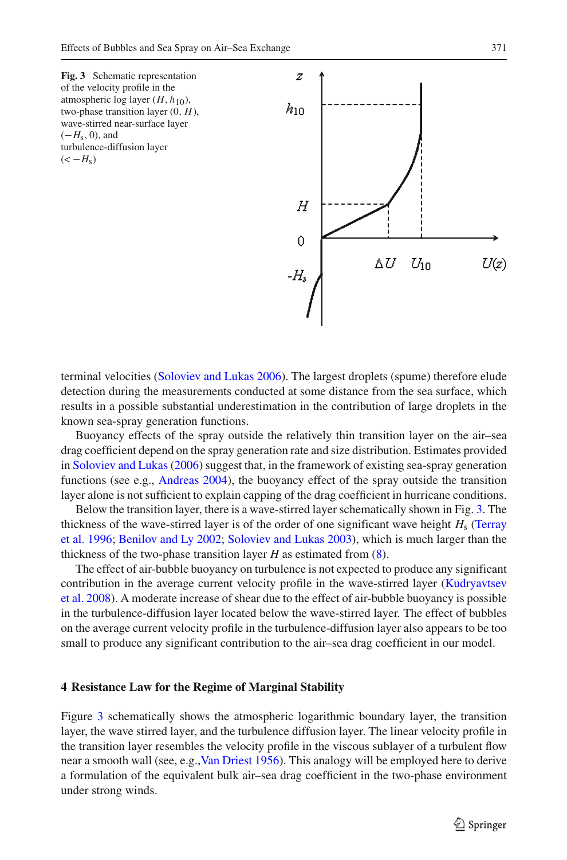<span id="page-7-1"></span>

terminal velocities [\(Soloviev and Lukas 2006](#page-12-1)). The largest droplets (spume) therefore elude detection during the measurements conducted at some distance from the sea surface, which results in a possible substantial underestimation in the contribution of large droplets in the known sea-spray generation functions.

Buoyancy effects of the spray outside the relatively thin transition layer on the air–sea drag coefficient depend on the spray generation rate and size distribution. Estimates provided in [Soloviev and Lukas](#page-12-1) [\(2006](#page-12-1)) suggest that, in the framework of existing sea-spray generation functions (see e.g., [Andreas 2004](#page-11-8)), the buoyancy effect of the spray outside the transition layer alone is not sufficient to explain capping of the drag coefficient in hurricane conditions.

Below the transition layer, there is a wave-stirred layer schematically shown in Fig. [3.](#page-7-1) The thic[kness](#page-12-21) [of](#page-12-21) [the](#page-12-21) [wave-stirred](#page-12-21) [layer](#page-12-21) [is](#page-12-21) of the [order](#page-12-21) of [one](#page-12-21) [significant](#page-12-21) [wave](#page-12-21) [height](#page-12-21)  $H_s$  (Terray et al. [1996;](#page-12-21) [Benilov and Ly 2002;](#page-11-14) [Soloviev and Lukas 2003\)](#page-12-22), which is much larger than the thickness of the two-phase transition layer *H* as estimated from [\(8\)](#page-5-0).

The effect of air-bubble buoyancy on turbulence is not expected to produce any significant cont[ribution](#page-12-23) [in](#page-12-23) [the](#page-12-23) [average](#page-12-23) [current](#page-12-23) [velocity](#page-12-23) [profile](#page-12-23) in the [wave-stirred](#page-12-23) [layer](#page-12-23) [\(](#page-12-23)Kudryavtsev et al. [2008\)](#page-12-23). A moderate increase of shear due to the effect of air-bubble buoyancy is possible in the turbulence-diffusion layer located below the wave-stirred layer. The effect of bubbles on the average current velocity profile in the turbulence-diffusion layer also appears to be too small to produce any significant contribution to the air–sea drag coefficient in our model.

#### <span id="page-7-0"></span>**4 Resistance Law for the Regime of Marginal Stability**

Figure [3](#page-7-1) schematically shows the atmospheric logarithmic boundary layer, the transition layer, the wave stirred layer, and the turbulence diffusion layer. The linear velocity profile in the transition layer resembles the velocity profile in the viscous sublayer of a turbulent flow near a smooth wall (see, e.g., Van Driest 1956). This analogy will be employed here to derive a formulation of the equivalent bulk air–sea drag coefficient in the two-phase environment under strong winds.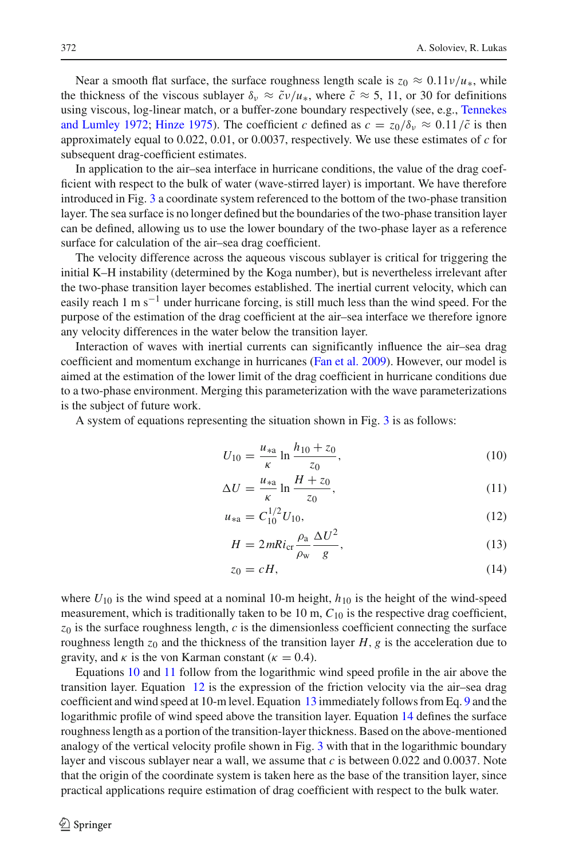Near a smooth flat surface, the surface roughness length scale is  $z_0 \approx 0.11 \nu/u_*$ , while the thickness of the viscous sublayer  $\delta_v \approx \tilde{c}v/u_*$ , where  $\tilde{c} \approx 5, 11$ , or 30 for definitions using visco[us,](#page-12-25) [log-linear](#page-12-25) [match,](#page-12-25) [or](#page-12-25) [a](#page-12-25) [buffer-zone](#page-12-25) [boundary](#page-12-25) [respectively](#page-12-25) [\(see,](#page-12-25) [e.g.,](#page-12-25) Tennekes and Lumley [1972;](#page-12-25) [Hinze 1975](#page-11-15)). The coefficient c defined as  $c = z_0/\delta_v \approx 0.11/\tilde{c}$  is then approximately equal to 0.022, 0.01, or 0.0037, respectively. We use these estimates of *c* for subsequent drag-coefficient estimates.

In application to the air–sea interface in hurricane conditions, the value of the drag coefficient with respect to the bulk of water (wave-stirred layer) is important. We have therefore introduced in Fig. [3](#page-7-1) a coordinate system referenced to the bottom of the two-phase transition layer. The sea surface is no longer defined but the boundaries of the two-phase transition layer can be defined, allowing us to use the lower boundary of the two-phase layer as a reference surface for calculation of the air–sea drag coefficient.

The velocity difference across the aqueous viscous sublayer is critical for triggering the initial K–H instability (determined by the Koga number), but is nevertheless irrelevant after the two-phase transition layer becomes established. The inertial current velocity, which can easily reach 1 m s<sup>-1</sup> under hurricane forcing, is still much less than the wind speed. For the purpose of the estimation of the drag coefficient at the air–sea interface we therefore ignore any velocity differences in the water below the transition layer.

Interaction of waves with inertial currents can significantly influence the air–sea drag coefficient and momentum exchange in hurricanes [\(Fan et al. 2009\)](#page-11-16). However, our model is aimed at the estimation of the lower limit of the drag coefficient in hurricane conditions due to a two-phase environment. Merging this parameterization with the wave parameterizations is the subject of future work.

<span id="page-8-0"></span>A system of equations representing the situation shown in Fig. [3](#page-7-1) is as follows:

$$
U_{10} = \frac{u_{*a}}{\kappa} \ln \frac{h_{10} + z_0}{z_0},\tag{10}
$$

$$
\Delta U = \frac{\kappa}{\kappa} \ln \frac{H + z_0}{z_0},\tag{11}
$$

$$
u_{*a} = C_{10}^{1/2} U_{10},\tag{12}
$$

$$
H = 2mRi_{\rm cr} \frac{\rho_{\rm a}}{\rho_{\rm w}} \frac{\Delta U^2}{g},\tag{13}
$$

$$
z_0 = cH,\t\t(14)
$$

where  $U_{10}$  is the wind speed at a nominal 10-m height,  $h_{10}$  is the height of the wind-speed measurement, which is traditionally taken to be 10 m,  $C_{10}$  is the respective drag coefficient,  $z_0$  is the surface roughness length,  $c$  is the dimensionless coefficient connecting the surface roughness length  $z_0$  and the thickness of the transition layer H, g is the acceleration due to gravity, and  $\kappa$  is the von Karman constant ( $\kappa = 0.4$ ).

Equations [10](#page-8-0) and [11](#page-8-0) follow from the logarithmic wind speed profile in the air above the transition layer. Equation [12](#page-8-0) is the expression of the friction velocity via the air–sea drag coefficient and wind speed at 10-m level. Equation [13](#page-8-0) immediately follows from Eq. [9](#page-5-1) and the logarithmic profile of wind speed above the transition layer. Equation [14](#page-8-0) defines the surface roughness length as a portion of the transition-layer thickness. Based on the above-mentioned analogy of the vertical velocity profile shown in Fig. [3](#page-7-1) with that in the logarithmic boundary layer and viscous sublayer near a wall, we assume that  $c$  is between 0.022 and 0.0037. Note that the origin of the coordinate system is taken here as the base of the transition layer, since practical applications require estimation of drag coefficient with respect to the bulk water.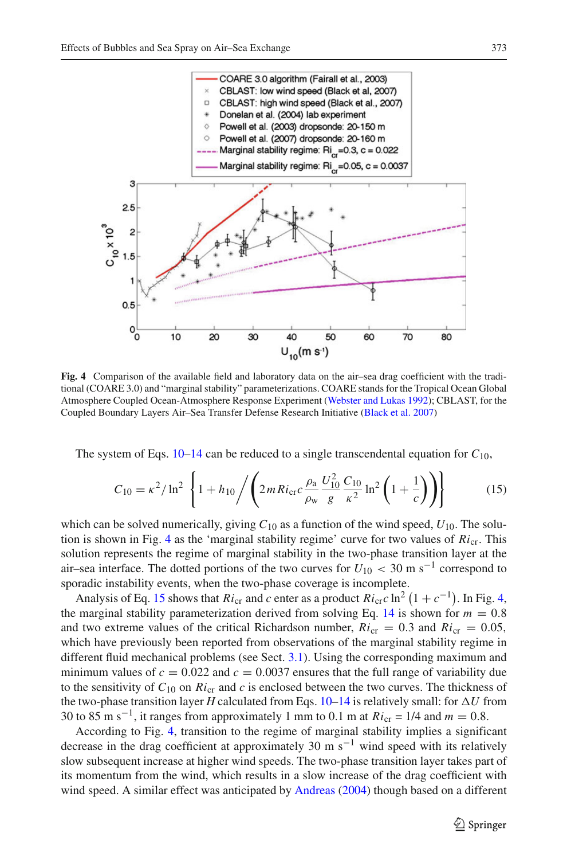

<span id="page-9-0"></span>**Fig. 4** Comparison of the available field and laboratory data on the air–sea drag coefficient with the traditional (COARE 3.0) and "marginal stability" parameterizations. COARE stands for the Tropical Ocean Global Atmosphere Coupled Ocean-Atmosphere Response Experiment [\(Webster and Lukas 1992](#page-12-26)); CBLAST, for the Coupled Boundary Layers Air–Sea Transfer Defense Research Initiative [\(Black et al. 2007](#page-11-1))

The system of Eqs. [10–14](#page-8-0) can be reduced to a single transcendental equation for  $C_{10}$ ,

$$
C_{10} = \kappa^2 / \ln^2 \left\{ 1 + h_{10} / \left( 2m R i_{\rm cr} c \frac{\rho_a}{\rho_w} \frac{U_{10}^2}{g} \frac{C_{10}}{\kappa^2} \ln^2 \left( 1 + \frac{1}{c} \right) \right) \right\}
$$
(15)

<span id="page-9-1"></span>which can be solved numerically, giving  $C_{10}$  as a function of the wind speed,  $U_{10}$ . The solu-tion is shown in Fig. [4](#page-9-0) as the 'marginal stability regime' curve for two values of  $Ric<sub>tr</sub>$ . This solution represents the regime of marginal stability in the two-phase transition layer at the air–sea interface. The dotted portions of the two curves for  $U_{10} < 30 \text{ m s}^{-1}$  correspond to sporadic instability events, when the two-phase coverage is incomplete.

Analysis of Eq. [15](#page-9-1) shows that  $Ri_{cr}$  and *c* enter as a product  $Ri_{cr}c \ln^2(1 + c^{-1})$ . In Fig. [4,](#page-9-0) marginal stability parameterization derived from solving Eq. 14 is shown for  $m = 0.8$ the marginal stability parameterization derived from solving Eq. [14](#page-8-0) is shown for  $m = 0.8$ and two extreme values of the critical Richardson number,  $Ric_r = 0.3$  and  $Ric_r = 0.05$ , which have previously been reported from observations of the marginal stability regime in different fluid mechanical problems (see Sect. [3.1\)](#page-6-1). Using the corresponding maximum and minimum values of  $c = 0.022$  and  $c = 0.0037$  ensures that the full range of variability due to the sensitivity of  $C_{10}$  on  $Ri_{cr}$  and  $c$  is enclosed between the two curves. The thickness of the two-phase transition layer *H* calculated from Eqs. [10–14](#page-8-0) is relatively small: for  $\Delta U$  from 30 to 85 m s<sup>-1</sup>, it ranges from approximately 1 mm to 0.1 m at  $Ri_{cr} = 1/4$  and  $m = 0.8$ .

According to Fig. [4,](#page-9-0) transition to the regime of marginal stability implies a significant decrease in the drag coefficient at approximately 30 m s<sup>-1</sup> wind speed with its relatively slow subsequent increase at higher wind speeds. The two-phase transition layer takes part of its momentum from the wind, which results in a slow increase of the drag coefficient with wind speed. A similar effect was anticipated by [Andreas](#page-11-8) [\(2004](#page-11-8)) though based on a different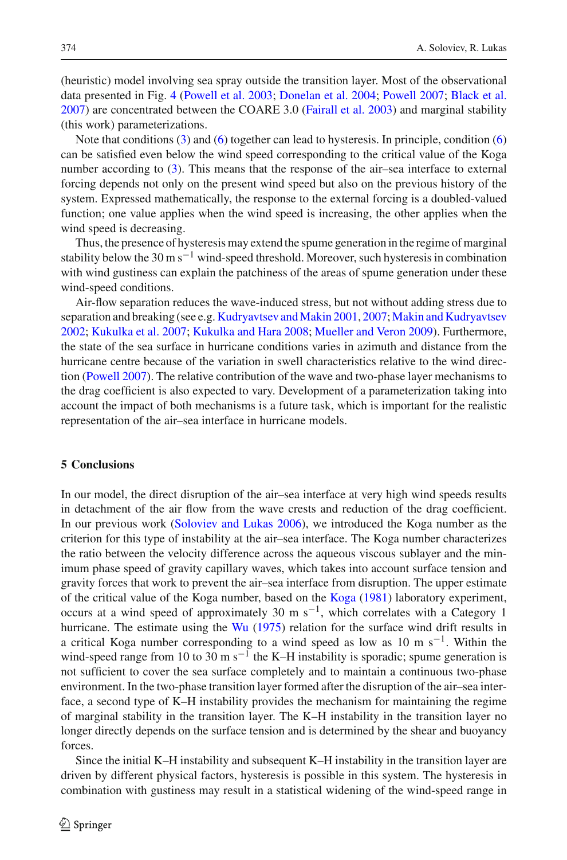(heuristic) model involving sea spray outside the transition layer. Most of the observational data presented in Fig. [4](#page-9-0) [\(Powell et al. 2003](#page-12-0); [Donelan et al. 2004;](#page-11-9) [Powell 2007](#page-12-27); [Black et al.](#page-11-1) [2007](#page-11-1)) are concentrated between the COARE 3.0 [\(Fairall et al. 2003](#page-11-17)) and marginal stability (this work) parameterizations.

Note that conditions  $(3)$  and  $(6)$  together can lead to hysteresis. In principle, condition  $(6)$ can be satisfied even below the wind speed corresponding to the critical value of the Koga number according to [\(3\)](#page-3-2). This means that the response of the air–sea interface to external forcing depends not only on the present wind speed but also on the previous history of the system. Expressed mathematically, the response to the external forcing is a doubled-valued function; one value applies when the wind speed is increasing, the other applies when the wind speed is decreasing.

Thus, the presence of hysteresis may extend the spume generation in the regime of marginal stability below the 30 m s<sup> $-1$ </sup> wind-speed threshold. Moreover, such hysteresis in combination with wind gustiness can explain the patchiness of the areas of spume generation under these wind-speed conditions.

Air-flow separation reduces the wave-induced stress, but not without adding stress due to separation and breaking (see e.g. Kudryavtsev and Makin 2001, [2007](#page-12-7); [Makin and Kudryavtsev](#page-12-29) [2002](#page-12-29); [Kukulka et al. 2007;](#page-12-30) [Kukulka and Hara 2008](#page-12-8); [Mueller and Veron 2009\)](#page-12-9). Furthermore, the state of the sea surface in hurricane conditions varies in azimuth and distance from the hurricane centre because of the variation in swell characteristics relative to the wind direction [\(Powell 2007\)](#page-12-27). The relative contribution of the wave and two-phase layer mechanisms to the drag coefficient is also expected to vary. Development of a parameterization taking into account the impact of both mechanisms is a future task, which is important for the realistic representation of the air–sea interface in hurricane models.

#### <span id="page-10-0"></span>**5 Conclusions**

In our model, the direct disruption of the air–sea interface at very high wind speeds results in detachment of the air flow from the wave crests and reduction of the drag coefficient. In our previous work [\(Soloviev and Lukas 2006\)](#page-12-1), we introduced the Koga number as the criterion for this type of instability at the air–sea interface. The Koga number characterizes the ratio between the velocity difference across the aqueous viscous sublayer and the minimum phase speed of gravity capillary waves, which takes into account surface tension and gravity forces that work to prevent the air–sea interface from disruption. The upper estimate of the critical value of the Koga number, based on the [Koga](#page-12-5) [\(1981\)](#page-12-5) laboratory experiment, occurs at a wind speed of approximately 30 m s<sup>-1</sup>, which correlates with a Category 1 hurricane. The estimate using the  $Wu$  [\(1975](#page-12-10)) relation for the surface wind drift results in a critical Koga number corresponding to a wind speed as low as 10 m s<sup>-1</sup>. Within the wind-speed range from 10 to 30 m s<sup> $-1$ </sup> the K–H instability is sporadic; spume generation is not sufficient to cover the sea surface completely and to maintain a continuous two-phase environment. In the two-phase transition layer formed after the disruption of the air–sea interface, a second type of K–H instability provides the mechanism for maintaining the regime of marginal stability in the transition layer. The K–H instability in the transition layer no longer directly depends on the surface tension and is determined by the shear and buoyancy forces.

Since the initial K–H instability and subsequent K–H instability in the transition layer are driven by different physical factors, hysteresis is possible in this system. The hysteresis in combination with gustiness may result in a statistical widening of the wind-speed range in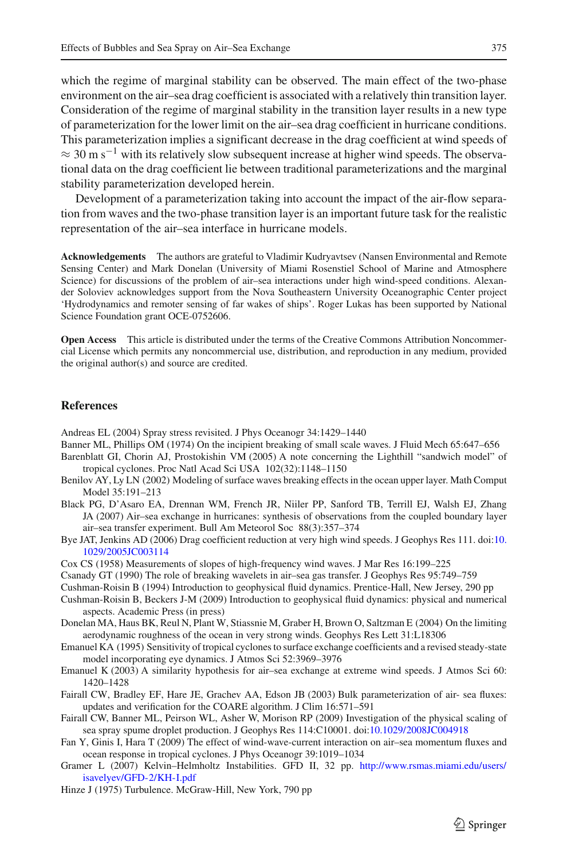which the regime of marginal stability can be observed. The main effect of the two-phase environment on the air–sea drag coefficient is associated with a relatively thin transition layer. Consideration of the regime of marginal stability in the transition layer results in a new type of parameterization for the lower limit on the air–sea drag coefficient in hurricane conditions. This parameterization implies a significant decrease in the drag coefficient at wind speeds of  $\approx 30$  m s<sup>-1</sup> with its relatively slow subsequent increase at higher wind speeds. The observational data on the drag coefficient lie between traditional parameterizations and the marginal stability parameterization developed herein.

Development of a parameterization taking into account the impact of the air-flow separation from waves and the two-phase transition layer is an important future task for the realistic representation of the air–sea interface in hurricane models.

**Acknowledgements** The authors are grateful to Vladimir Kudryavtsev (Nansen Environmental and Remote Sensing Center) and Mark Donelan (University of Miami Rosenstiel School of Marine and Atmosphere Science) for discussions of the problem of air–sea interactions under high wind-speed conditions. Alexander Soloviev acknowledges support from the Nova Southeastern University Oceanographic Center project 'Hydrodynamics and remoter sensing of far wakes of ships'. Roger Lukas has been supported by National Science Foundation grant OCE-0752606.

**Open Access** This article is distributed under the terms of the Creative Commons Attribution Noncommercial License which permits any noncommercial use, distribution, and reproduction in any medium, provided the original author(s) and source are credited.

#### **References**

<span id="page-11-8"></span>Andreas EL (2004) Spray stress revisited. J Phys Oceanogr 34:1429–1440

- <span id="page-11-6"></span>Banner ML, Phillips OM (1974) On the incipient breaking of small scale waves. J Fluid Mech 65:647–656
- <span id="page-11-3"></span>Barenblatt GI, Chorin AJ, Prostokishin VM (2005) A note concerning the Lighthill "sandwich model" of tropical cyclones. Proc Natl Acad Sci USA 102(32):1148–1150
- <span id="page-11-14"></span>Benilov AY, Ly LN (2002) Modeling of surface waves breaking effects in the ocean upper layer. Math Comput Model 35:191–213
- <span id="page-11-1"></span>Black PG, D'Asaro EA, Drennan WM, French JR, Niiler PP, Sanford TB, Terrill EJ, Walsh EJ, Zhang JA (2007) Air–sea exchange in hurricanes: synthesis of observations from the coupled boundary layer air–sea transfer experiment. Bull Am Meteorol Soc 88(3):357–374
- <span id="page-11-4"></span>Bye JAT, Jenkins AD (2006) Drag coefficient reduction at very high wind speeds. J Geophys Res 111. doi[:10.](http://dx.doi.org/10.1029/2005JC003114) [1029/2005JC003114](http://dx.doi.org/10.1029/2005JC003114)
- <span id="page-11-5"></span>Cox CS (1958) Measurements of slopes of high-frequency wind waves. J Mar Res 16:199–225
- <span id="page-11-7"></span>Csanady GT (1990) The role of breaking wavelets in air–sea gas transfer. J Geophys Res 95:749–759
- <span id="page-11-12"></span>Cushman-Roisin B (1994) Introduction to geophysical fluid dynamics. Prentice-Hall, New Jersey, 290 pp
- <span id="page-11-11"></span>Cushman-Roisin B, Beckers J-M (2009) Introduction to geophysical fluid dynamics: physical and numerical aspects. Academic Press (in press)
- <span id="page-11-9"></span>Donelan MA, Haus BK, Reul N, Plant W, Stiassnie M, Graber H, Brown O, Saltzman E (2004) On the limiting aerodynamic roughness of the ocean in very strong winds. Geophys Res Lett 31:L18306
- <span id="page-11-0"></span>Emanuel KA (1995) Sensitivity of tropical cyclones to surface exchange coefficients and a revised steady-state model incorporating eye dynamics. J Atmos Sci 52:3969–3976
- <span id="page-11-2"></span>Emanuel K (2003) A similarity hypothesis for air–sea exchange at extreme wind speeds. J Atmos Sci 60: 1420–1428
- <span id="page-11-17"></span>Fairall CW, Bradley EF, Hare JE, Grachev AA, Edson JB (2003) Bulk parameterization of air- sea fluxes: updates and verification for the COARE algorithm. J Clim 16:571–591
- <span id="page-11-10"></span>Fairall CW, Banner ML, Peirson WL, Asher W, Morison RP (2009) Investigation of the physical scaling of sea spray spume droplet production. J Geophys Res 114:C10001. doi[:10.1029/2008JC004918](http://dx.doi.org/10.1029/2008JC004918)
- <span id="page-11-16"></span>Fan Y, Ginis I, Hara T (2009) The effect of wind-wave-current interaction on air–sea momentum fluxes and ocean response in tropical cyclones. J Phys Oceanogr 39:1019–1034
- <span id="page-11-13"></span>Gramer L (2007) Kelvin–Helmholtz Instabilities. GFD II, 32 pp. [http://www.rsmas.miami.edu/users/](http://www.rsmas.miami.edu/users/isavelyev/GFD-2/KH-I.pdf) [isavelyev/GFD-2/KH-I.pdf](http://www.rsmas.miami.edu/users/isavelyev/GFD-2/KH-I.pdf)
- <span id="page-11-15"></span>Hinze J (1975) Turbulence. McGraw-Hill, New York, 790 pp